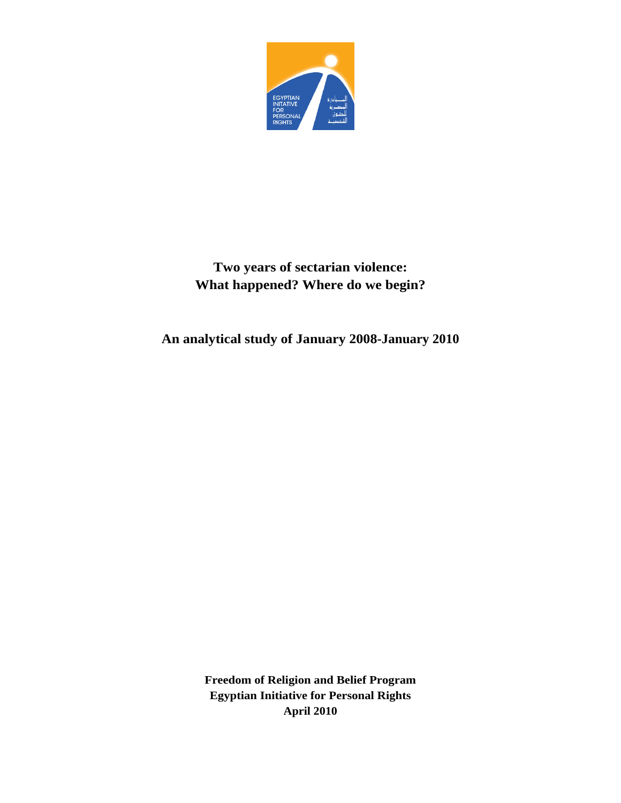

# **Two years of sectarian violence: What happened? Where do we begin?**

**An analytical study of January 2008-January 2010**

**Freedom of Religion and Belief Program Egyptian Initiative for Personal Rights April 2010**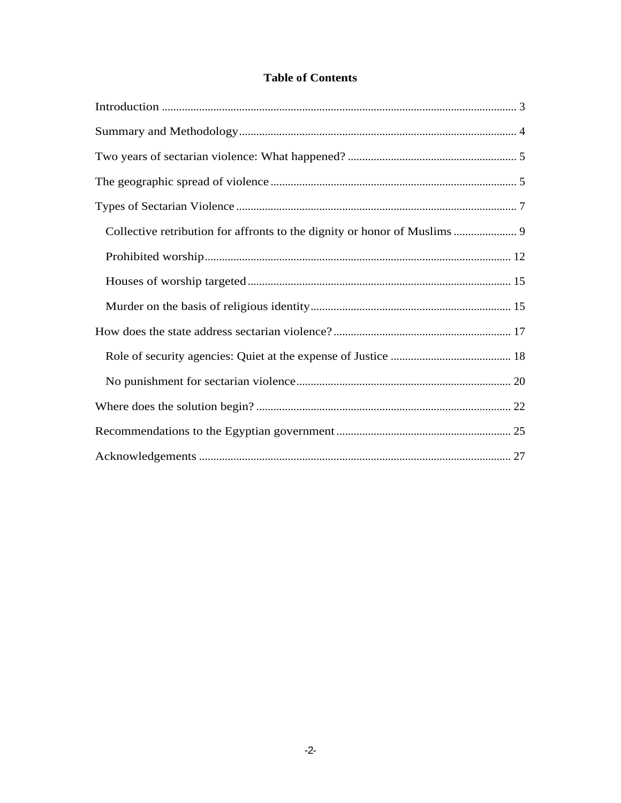# **Table of Contents**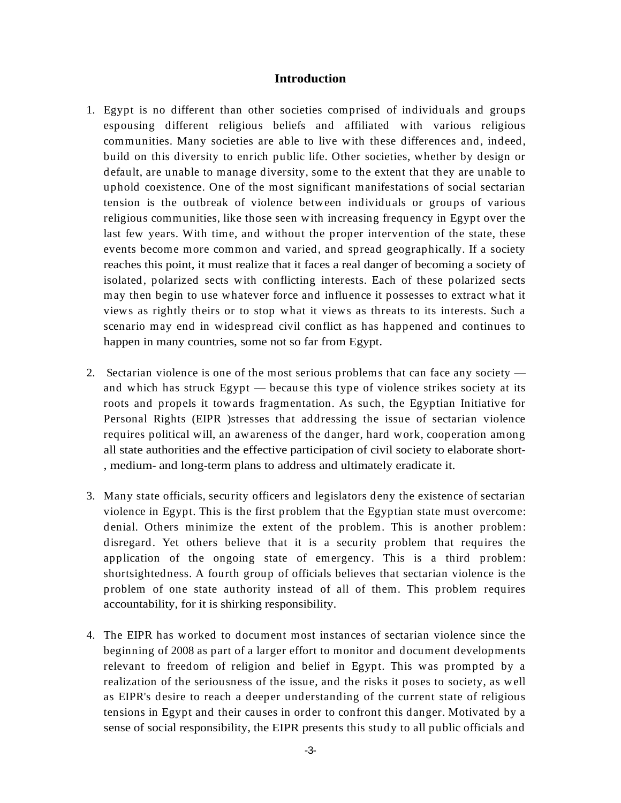# **Introduction**

- 1. Egypt is no different than other societies comprised of individuals and groups espousing different religious beliefs and affiliated with various religious communities. Many societies are able to live with these differences and, indeed, build on this diversity to enrich public life. Other societies, whether by design or default, are unable to manage diversity, some to the extent that they are unable to uphold coexistence. One of the most significant manifestations of social sectarian tension is the outbreak of violence between individuals or groups of various religious communities, like those seen with increasing frequency in Egypt over the last few years.With time, and without the proper intervention of the state, these events become more common and varied, and spread geographically. If a society reaches this point, it must realize that it faces a real danger of becoming a society of isolated, polarized sects with conflicting interests. Each of these polarized sects may then begin to use whatever force and influence it possesses to extract what it views as rightly theirs or to stop what it views as threats to its interests. Such a scenario may end in widespread civil conflict as has happened and continues to happen in many countries, some not so far from Egypt.
- 2. Sectarian violence is one of the most serious problems that can face any society and which has struck Egypt — because this type of violence strikes society at its roots and propels it towards fragmentation. As such, the Egyptian Initiative for Personal Rights (EIPR )stresses that addressing the issue of sectarian violence requires political will, an awareness of the danger, hard work, cooperation among all state authorities and the effective participation of civil society to elaborate short- , medium- and long-term plans to address and ultimately eradicate it.
- 3. Many state officials, security officers and legislators deny the existence of sectarian violence in Egypt. This is the first problem that the Egyptian state must overcome: denial. Others minimize the extent of the problem. This is another problem: disregard. Yet others believe that it is a security problem that requires the application of the ongoing state of emergency. This is a third problem: shortsightedness. A fourth group of officials believes that sectarian violence is the problem of one state authority instead of all of them. This problem requires accountability, for it is shirking responsibility.
- 4. The EIPR has worked to document most instances of sectarian violence since the beginning of 2008 as part of a larger effort to monitor and document developments relevant to freedom of religion and belief in Egypt. This was prompted by a realization of the seriousness of the issue, and the risks it poses to society, as well as EIPR's desire to reach a deeper understanding of the current state of religious tensions in Egypt and their causes in order to confront this danger. Motivated by a sense of social responsibility, the EIPR presents this study to all public officials and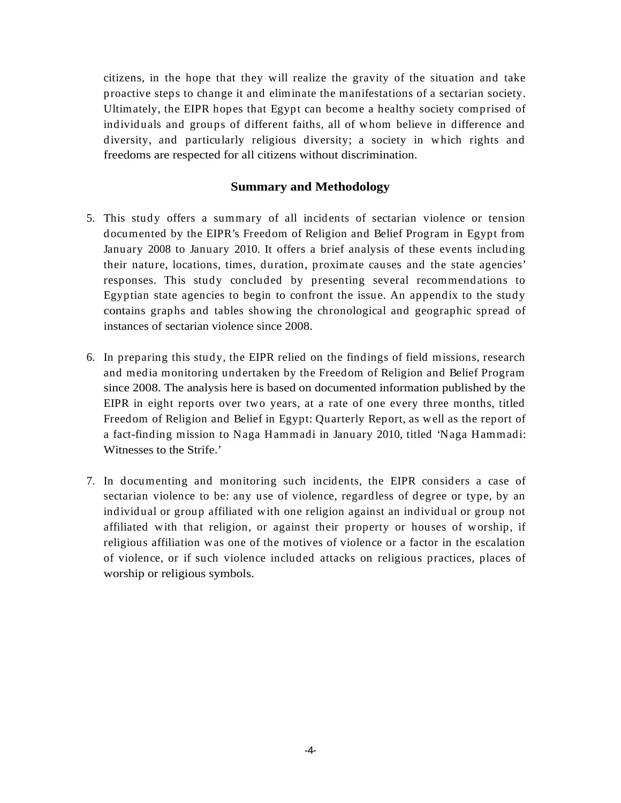citizens, in the hope that they will realize the gravity of the situation and take proactive steps to change it and eliminate the manifestations of a sectarian society. Ultimately, the EIPR hopes that Egypt can become a healthy society comprised of individuals and groups of different faiths, all of whom believe in difference and diversity, and particularly religious diversity; a society in which rights and freedoms are respected for all citizens without discrimination.

# **Summary and Methodology**

- 5. This study offers a summary of all incidents of sectarian violence or tension documented by the EIPR's Freedom of Religion and Belief Program in Egypt from January 2008 to January 2010. It offers a brief analysis of these events including their nature, locations, times, duration, proximate causes and the state agencies' responses. This study concluded by presenting several recommendations to Egyptian state agencies to begin to confront the issue. An appendix to the study contains graphs and tables showing the chronological and geographic spread of instances of sectarian violence since 2008.
- 6. In preparing this study, the EIPR relied on the findings of field missions, research and media monitoring undertaken by the Freedom of Religion and Belief Program since 2008. The analysis here is based on documented information published by the EIPR in eight reports over two years, at a rate of one every three months, titled Freedom of Religion and Belief in Egypt: Quarterly Report, as well as the report of a fact-finding mission to Naga Hammadi in January 2010, titled 'Naga Hammadi: Witnesses to the Strife.'
- 7. In documenting and monitoring such incidents, the EIPR considers a case of sectarian violence to be: any use of violence, regardless of degree or type, by an individual or group affiliated with one religion against an individual or group not affiliated with that religion, or against their property or houses of worship, if religious affiliation was one of the motives of violence or a factor in the escalation of violence, or if such violence included attacks on religious practices, places of worship or religious symbols.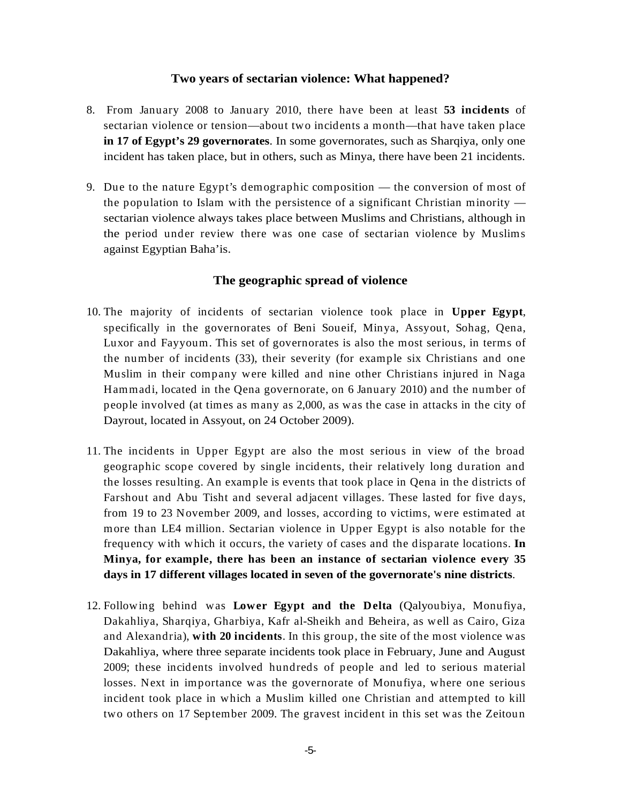- 8. From January 2008 to January 2010, there have been at least **53 incidents** of sectarian violence or tension—about two incidents a month—that have taken place **in 17 of Egypt's 29 governorates**. In some governorates, such as Sharqiya, only one incident has taken place, but in others, such as Minya, there have been 21 incidents.
- 9. Due to the nature Egypt's demographic composition the conversion ofmost of the population to Islam with the persistence of a significant Christian minority sectarian violence always takes place between Muslims and Christians, although in the period under review there was one case of sectarian violence by Muslims against Egyptian Baha'is.

# **The geographic spread of violence**

- 10. The majority of incidents of sectarian violence took place in **Upper Egypt**, specifically in the governorates of Beni Soueif, Minya, Assyout, Sohag, Qena, Luxor and Fayyoum. This set of governorates is also the most serious, in terms of the number of incidents (33), their severity (for example six Christians and one Muslim in their company were killed and nine other Christians injured in Naga Hammadi, located in the Qena governorate, on 6 January 2010) and the number of people involved (at times as many as 2,000, as was the case in attacks in the city of Dayrout, located in Assyout, on 24 October 2009).
- Two years of sectarian violence: What happened?<br>
Y 2008 in January 2010, there have here a at least 53 incldents of<br>
energy 2008 in January 2010, there have here at least 53 incldents of<br>
ere 29 governormsts. Fancome gover 11. The incidents in Upper Egypt are also the most serious in view of the broad geographic scope covered by single incidents, their relatively long duration and the losses resulting. An example is events that took place in Qena in the districts of Farshout and Abu Tisht and several adjacent villages. These lasted for five days, from 19 to 23 November 2009, and losses, according to victims, were estimated at more than LE4 million. Sectarian violence in Upper Egypt is also notable for the frequency with which it occurs, the variety of cases and the disparate locations. **In Minya, for example, there has been an instance of sectarian violence every 35**
- **days in 17 different villages located in seven of the governorate's nine districts**. 12. Following behind was **Lower Egypt and the Delta** (Qalyoubiya, Monufiya, Dakahliya, Sharqiya, Gharbiya, Kafr al-Sheikh and Beheira, as well as Cairo, Giza and Alexandria), **with 20 incidents**. In this group, the site of the most violence was Dakahliya, where three separate incidents took place in February, June and August 2009; these incidents involved hundreds of people and led to serious material losses. Next in importance was the governorate of Monufiya, where one serious incident took place in which a Muslim killed one Christian and attempted to kill two others on 17 September 2009. The gravest incident in this set was the Zeitoun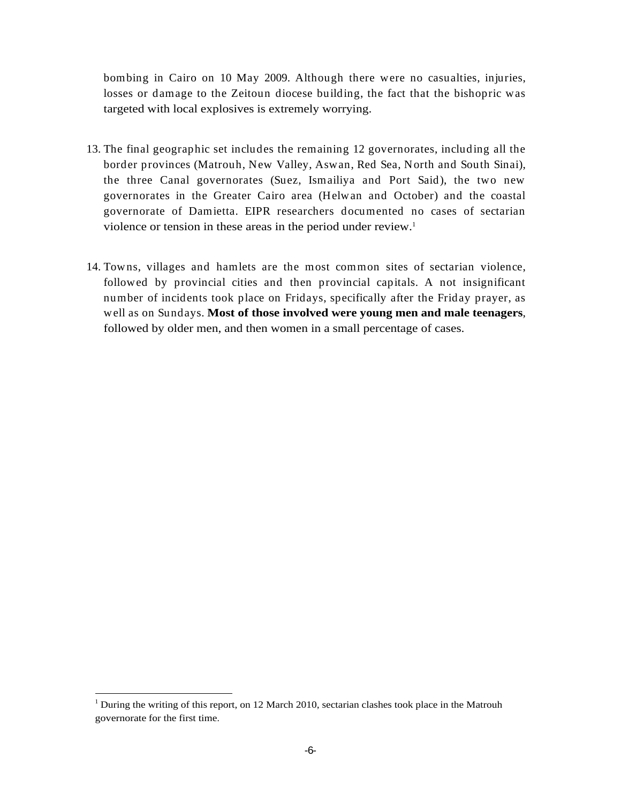bombing in Cairo on 10 May 2009. Although there were no casualties, injuries, losses or damage to the Zeitoun diocese building, the fact that the bishopric was targeted with local explosives is extremely worrying.

- 13. The final geographic set includes the remaining 12 governorates, including all the border provinces (Matrouh, New Valley, Aswan, Red Sea, North and South Sinai), the three Canal governorates (Suez, Ismailiya and Port Said), the two new governorates in the Greater Cairo area (Helwan and October) and the coastal governorate of Damietta. EIPR researchers documented no cases of sectarian violence or tension in these areas in the period under review.<sup>1</sup>
- 14. Towns, villages and hamlets are the most common sites of sectarian violence, followed by provincial cities and then provincial capitals. A not insignificant number of incidents took place on Fridays, specifically after the Friday prayer, as well as on Sundays. Most of those involved were young men and male teenagers,<br>followed by older men, and then women in a small percentage of cases.<br>During the writing of this report, on 12 March 2010, secturian clashes too

governorate for the first time.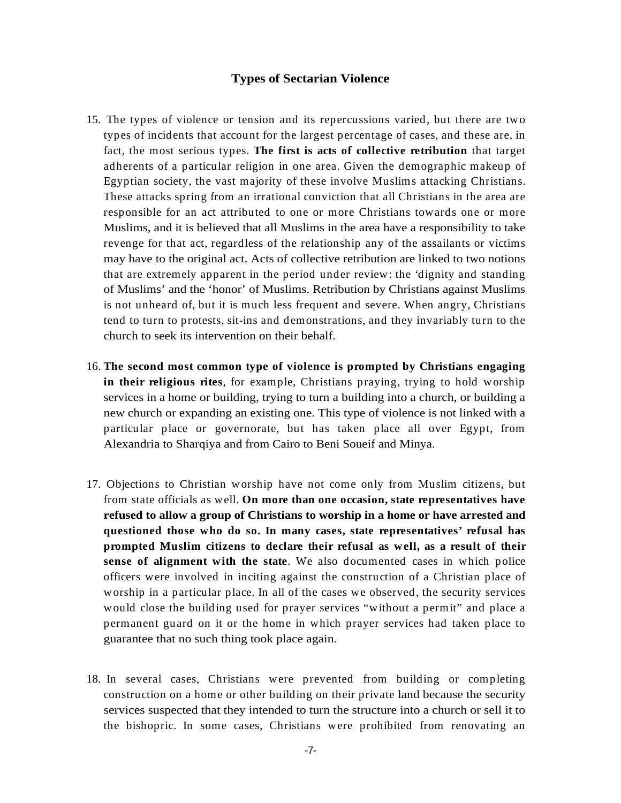- **Types of Sectarian Violence**<br>
tension and its reprecessions varied, but there are two ordinary of the largest precentage of cases, and these are, in<br>
cose. The first is acts of collective verithium that target<br>
religion i 15. The types of violence or tension and its repercussions varied, but there are two types of incidents that account for the largest percentage of cases, and these are, in fact, the most serious types. **The first is acts of collective retribution** that target adherents of a particular religion in one area.Given the demographic makeup of Egyptian society, the vast majority of these involve Muslims attacking Christians. These attacks spring from an irrational conviction that all Christians in the area are responsible for an act attributed to one or more Christians towards one or more Muslims, and it is believed that all Muslims in the area have a responsibility to take revenge for that act, regardless of the relationship any of the assailants or victims may have to the original act. Acts of collective retribution are linked to two notions that are extremely apparent in the period under review: the 'dignity and standing of Muslims' and the 'honor' of Muslims. Retribution by Christians against Muslims is not unheard of, but it is much less frequent and severe. When angry, Christians tend to turn to protests, sit-ins and demonstrations, and they invariably turn to the church to seek its intervention on their behalf.
- 16. **The second most common type of violence is prompted by Christians engaging in their religious rites**, for example, Christians praying, trying to hold worship services in a home or building, trying to turn a building into a church, or building a new church or expanding an existing one. This type of violence is not linked with a particular place or governorate, but has taken place all over Egypt, from Alexandria to Sharqiya and from Cairo to Beni Soueif and Minya.
- 17. Objections to Christian worship have not come only from Muslim citizens, but from state officials as well. **On more than one occasion, state representatives have refused to allow a group of Christians to worship in a home or have arrested and questioned those who do so. In many cases, state representatives' refusal has prompted Muslim citizens to declare their refusal as well, as a result of their sense of alignment with the state**. We also documented cases in which police officers were involved in inciting against the construction of a Christian place of worship in a particular place. In all of the cases we observed, the security services would close the building used for prayer services "without a permit" and place a permanent guard on it or the home in which prayer services had taken place to guarantee that no such thing took place again.
- 18. In several cases, Christians were prevented from building or completing construction on a home or other building on their private land because the security services suspected that they intended to turn the structure into a church or sell it to the bishopric. In some cases, Christians were prohibited from renovating an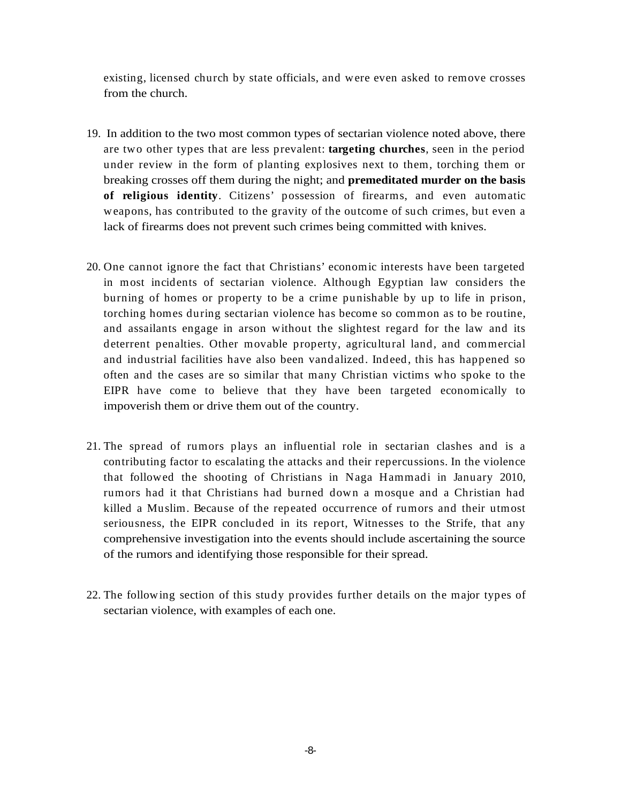existing, licensed church by state officials, and were even asked to remove crosses from the church.

- 19. In addition to the two most common types of sectarian violence noted above, there are two other types that are less prevalent: **targeting churches**, seen in the period under review in the form of planting explosives next to them, torching them or breaking crosses off them during the night; and **premeditated murder on the basis of religious identity**. Citizens' possession of firearms, and even automatic weapons, has contributed to the gravity of the outcome of such crimes, but even a lack of firearms does not prevent such crimes being committed with knives.
- 20. One cannot ignore the fact that Christians' economic interests have been targeted in most incidents of sectarian violence. Although Egyptian law considers the burning of homes or property to be a crime punishable by up to life in prison, torching homes during sectarian violence has become so common as to be routine, and assailants engage in arson without the slightest regard for the law and its deterrent penalties. Other movable property, agricultural land, and commercial and industrial facilities have also been vandalized. Indeed, this has happened so often and the cases are so similar that many Christian victims who spoke to the EIPR have come to believe that they have been targeted economically to impoverish them or drive them out of the country.
- 21. The spread of rumors plays an influential role in sectarian clashes and is a contributing factor to escalating the attacks and their repercussions. In the violence that followed the shooting of Christians in Naga Hammadi in January 2010, rumors had it that Christians had burned down a mosque and a Christian had killed a Muslim. Because of the repeated occurrence of rumors and their utmost seriousness, the EIPR concluded in its report, Witnesses to the Strife, that any comprehensive investigation into the events should include ascertaining the source of the rumors and identifying those responsible for their spread.
- 22. The following section of this study provides further details on the major types of sectarian violence, with examples of each one.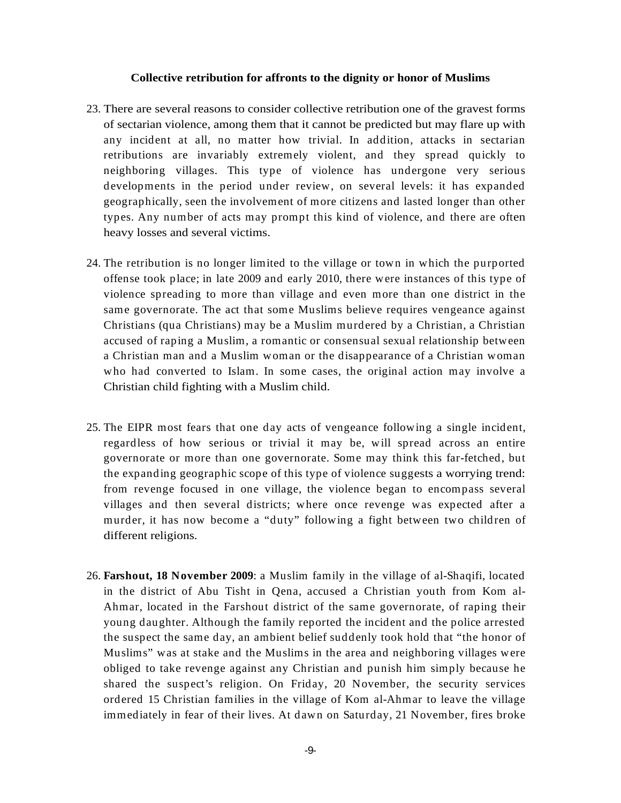- 23. There are several reasons to consider collective retribution one of the gravest forms of sectarian violence, among them that it cannot be predicted but may flare up with any incident at all, no matter how trivial. In addition, attacks in sectarian retributions are invariably extremely violent, and they spread quickly to neighboring villages. This type of violence has undergone very serious developments in the period under review, on several levels: it has expanded geographically, seen the involvement of more citizens and lasted longer than other types. Any number of acts may prompt this kind of violence, and there are often heavy losses and several victims.
- 24. The retribution is no longer limited to the village or town in which the purported offense took place; in late 2009 and early 2010, there were instances of this type of violence spreading to more than village and even more than one district in the same governorate. The act that some Muslims believe requires vengeance against Christians (qua Christians) may be a Muslim murdered by a Christian, a Christian accused of raping a Muslim, a romantic or consensual sexual relationship between a Christian man and a Muslim woman or the disappearance of a Christian woman who had converted to Islam. In some cases, the original action may involve a Christian child fighting with a Muslim child.
- 25. The EIPR most fears that one day acts of vengeance following a single incident, regardless of how serious or trivial it may be, will spread across an entire governorate or more than one governorate. Some may think this far-fetched, but the expanding geographic scope of this type of violence suggests a worrying trend: from revenge focused in one village, the violence began to encompass several villages and then several districts; where once revenge was expected after a murder, it has now become a "duty" following a fight between two children of different religions.
- **Collective retribution for affronts to the dignity or honor of Muslims<br>
can consider an all, no matter how trivial. In addition, anseks to remain<br>
consider an all, no matter how trivial, In addition, ansakes in sectarian** 26. **Farshout, 18 November 2009**: a Muslim family in the village of al-Shaqifi, located in the district of Abu Tisht in Qena, accused a Christian youth from Kom al- Ahmar, located in the Farshout district of the same governorate, of raping their young daughter. Although the family reported the incident and the police arrested the suspect the same day, an ambient belief suddenly took hold that "the honor of Muslims" was at stake and the Muslims in the area and neighboring villages were obliged to take revenge against any Christian and punish him simply because he shared the suspect's religion. On Friday, 20 November, the security services ordered 15 Christian families in the village of Kom al-Ahmar to leave the village immediately in fear of their lives. At dawn on Saturday, 21 November, fires broke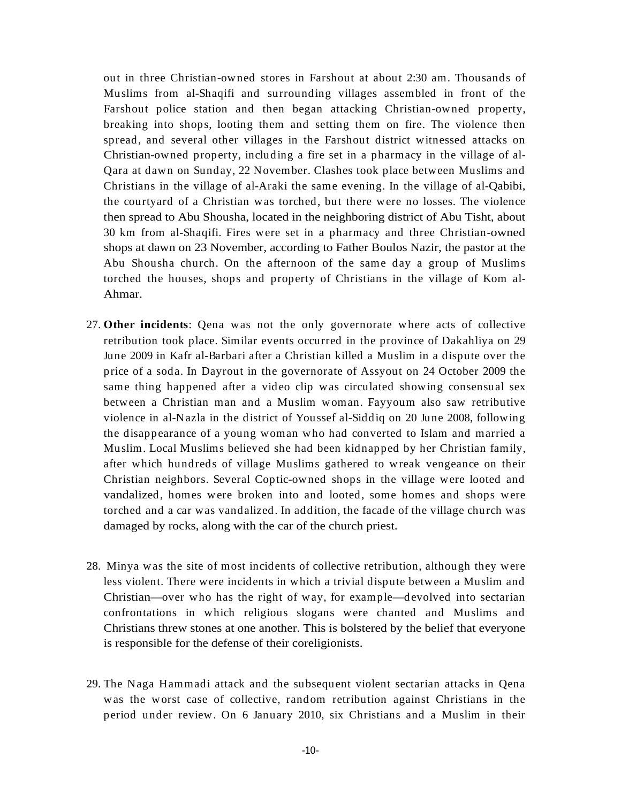out in three Christian-owned stores in Farshout at about 2:30 am. Thousands of Muslims from al-Shaqifi and surrounding villages assembled in front of the Farshout police station and then began attacking Christian-owned property, breaking into shops, looting them and setting them on fire. The violence then spread, and several other villages in the Farshout district witnessed attacks on Christian-owned property, including a fire set in a pharmacy in the village of al- Qara at dawn on Sunday, 22 November. Clashes took place between Muslims and Christians in the village of al-Araki the same evening. In the village of al-Qabibi, the courtyard of a Christian was torched, but there were no losses. The violence then spread to Abu Shousha, located in the neighboring district of Abu Tisht, about 30 km from al-Shaqifi. Fires were set in a pharmacy and three Christian-owned shops at dawn on 23 November, according to Father Boulos Nazir, the pastor at the Abu Shousha church. On the afternoon of the same day a group of Muslims torched the houses, shops and property of Christians in the village of Kom al- Ahmar.

- 27. **Other incidents**: Qena was not the only governorate where acts of collective retribution took place. Similar events occurred in the province of Dakahliya on 29 June 2009 in Kafr al-Barbari after aChristian killed a Muslim in a dispute over the price of a soda. In Dayrout in the governorate of Assyout on 24 October 2009 the same thing happened after a video clip was circulated showing consensual sex between a Christian man and a Muslim woman. Fayyoum also saw retributive violence in al-Nazla in the district of Youssef al-Siddiq on 20 June 2008, following the disappearance of a young woman who had converted to Islam and married a Muslim. Local Muslims believed she had been kidnapped by her Christian family, after which hundreds of village Muslims gathered to wreak vengeance on their Christian neighbors. Several Coptic-owned shops in the village were looted and vandalized, homes were broken into and looted, some homes and shops were torched and a car was vandalized. In addition, the facade of the village church was damaged by rocks, along with the car of the church priest.
- 28. Minya was the site of most incidents of collective retribution, although they were less violent. There were incidents in which a trivial dispute between a Muslim and Christian—over who has the right of way, for example—devolved into sectarian confrontations in which religious slogans were chanted and Muslims and Christians threw stones at one another. This is bolstered by the belief that everyone is responsible for the defense of their coreligionists.
- 29. The Naga Hammadi attack and the subsequent violent sectarian attacks in Qena was the worst case of collective, random retribution against Christians in the period under review. On 6 January 2010, six Christians and a Muslim in their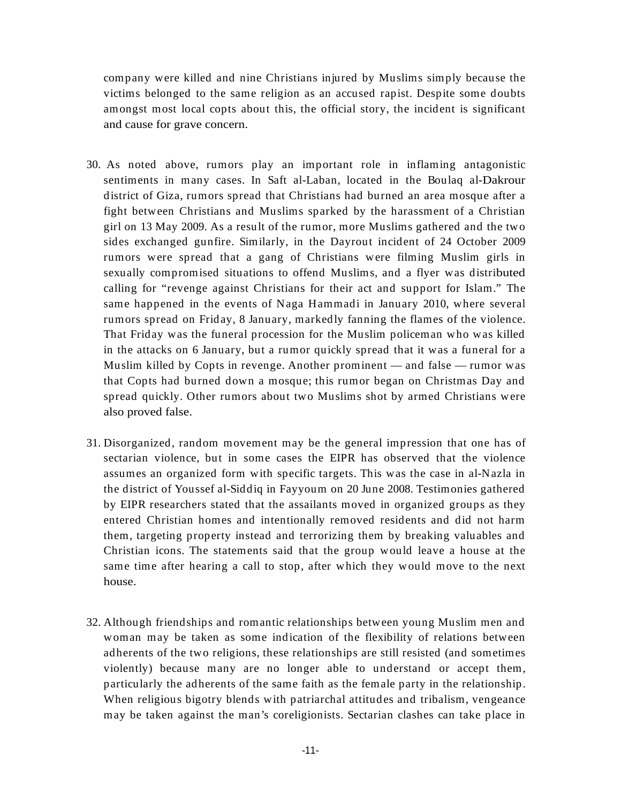company were killed and nine Christians injured by Muslims simply because the victims belonged to the same religion as an accused rapist. Despite some doubts amongst most local copts about this, the official story, the incident is significant and cause for grave concern.

- 30. As noted above, rumors play an important role in inflaming antagonistic sentiments in many cases. In Saft al-Laban, located in the Boulaq al-Dakrour district of Giza, rumors spread that Christians had burned an area mosque after a fight between Christians and Muslims sparked by the harassment of a Christian girl on 13 May 2009. As a result of the rumor, more Muslims gathered and the two sides exchanged gunfire. Similarly, in the Dayrout incident of 24 October 2009 rumors were spread that a gang of Christians were filming Muslim girls in sexually compromised situations to offend Muslims, and a flyer was distributed calling for "revenge against Christians for their act and support for Islam." The same happened in the events of Naga Hammadi in January 2010, where several rumors spread on Friday, 8 January, markedly fanning the flames of the violence. That Friday was the funeral procession for the Muslim policeman who was killed in the attacks on 6 January, but a rumor quickly spread that itwas a funeral for a Muslim killed by Copts in revenge. Another prominent — and false — rumor was that Copts had burned down a mosque; this rumor began on Christmas Day and spread quickly. Other rumors about two Muslims shot by armed Christians were also proved false.
- 31. Disorganized, random movement may be the general impression that one has of sectarian violence, but in some cases the EIPR has observed that the violence assumes an organized form with specific targets. This was the case in al-Nazla in the district of Youssef al-Siddiq in Fayyoum on 20 June 2008. Testimonies gathered by EIPR researchers stated that the assailants moved in organized groups as they entered Christian homes and intentionally removed residents and did not harm them, targeting property instead and terrorizing them by breaking valuables and Christian icons. The statements said that the group would leave a house at the same time after hearing a call to stop, after which they would move to the next house.
- 32. Although friendships and romantic relationships between young Muslim men and woman may be taken as some indication of the flexibility of relations between adherents of the two religions, these relationships are still resisted (and sometimes violently) because many are no longer able to understand or accept them, particularly the adherents of the same faith as the female party in the relationship. When religious bigotry blends with patriarchal attitudes and tribalism, vengeance may be taken against the man's coreligionists. Sectarian clashes can take place in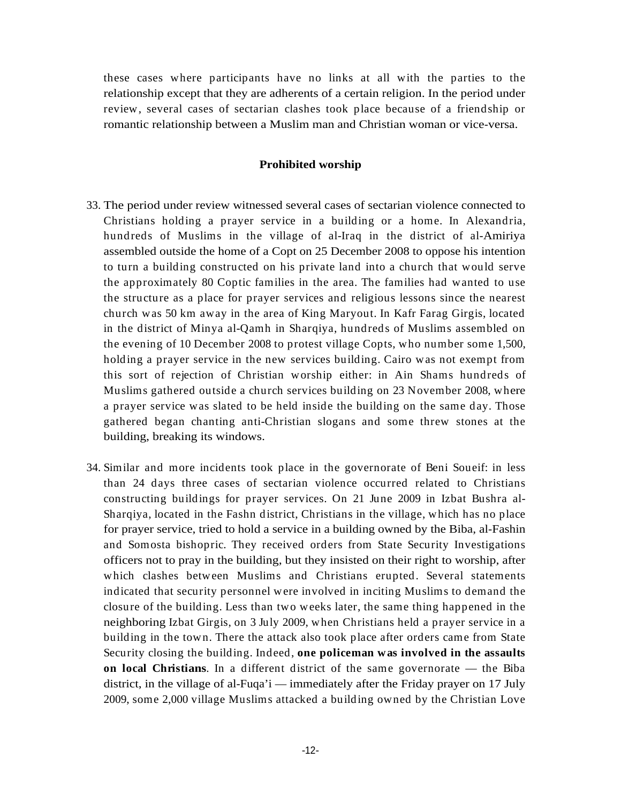these cases where participants have no links at all with the parties to the relationship except that they are adherents of a certain religion. In the period under review, several cases of sectarian clashes took place because of a friendship or romantic relationship between a Muslim man and Christian woman or vice-versa.

# **Prohibited worship**

- 33. The period under review witnessed several cases of sectarian violence connected to Christians holding a prayer service in a building or a home. In Alexandria, hundreds of Muslims in the village of al-Iraq in the district of al-Amiriya assembled outside the home of a Copt on 25 December 2008 to oppose his intention to turn a building constructed on his private land into a church that would serve the approximately 80 Coptic families in the area. The families had wanted to use the structure as a place for prayer services and religious lessons since the nearest church was 50 km away in the area of King Maryout. In Kafr Farag Girgis, located in the district of Minya al-Qamh in Sharqiya, hundreds of Muslims assembled on the evening of 10 December 2008 to protest village Copts, who number some 1,500, holding a prayer service in the new services building. Cairo was not exempt from this sort of rejection of Christian worship either: in Ain Shams hundreds of Muslims gathered outside a church services building on 23 November 2008, where a prayer service was slated to be held inside the building on the same day. Those gathered began chanting anti-Christian slogans and some threw stones at the building, breaking its windows.
- 34. Similar and more incidents took place in the governorate of Beni Soueif: in less than 24 days three cases of sectarian violence occurred related to Christians constructing buildings for prayer services. On 21 June 2009 in Izbat Bushra al- Sharqiya, located in the Fashn district, Christians in the village, which has no place for prayer service, tried to hold a service in a building owned by the Biba, al-Fashin and Somosta bishopric. They received orders from State Security Investigations officers not to pray in the building, but they insisted on their right to worship, after which clashes between Muslims and Christians erupted. Several statements indicated that security personnel were involved in inciting Muslims to demand the closure of the building. Less than two weeks later, the same thing happened in the neighboring Izbat Girgis, on 3 July 2009, when Christiansheld a prayer service in a building in the town. There the attack also took place after orders came from State Security closing the building. Indeed, **one policeman was involved in the assaults on local Christians**. In a different district of the same governorate — the Biba district, in the village of al-Fuqa'i — immediately after the Friday prayer on 17 July 2009, some 2,000 village Muslimsattacked a building owned by the Christian Love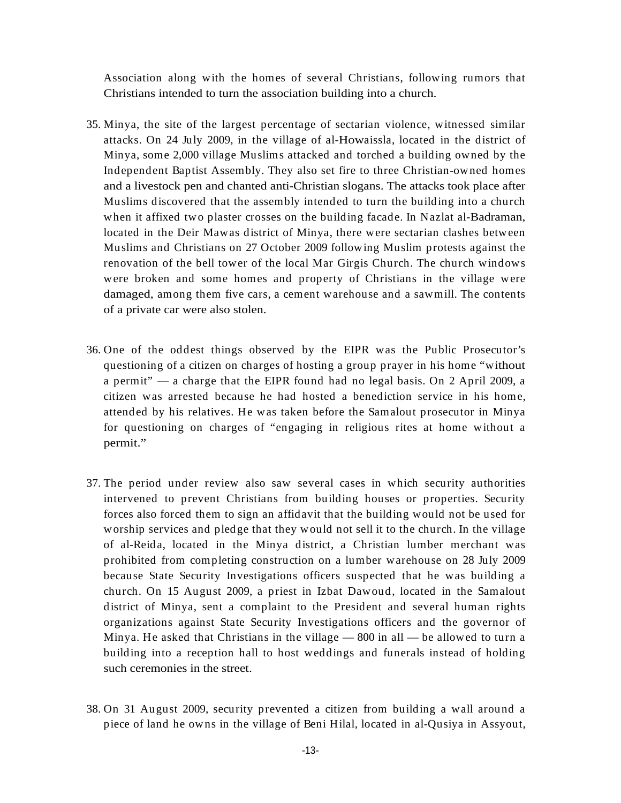Christians intended to turn the association building into a church.

- Association along with the homes of several Christians, following rumors that<br>
Minya, the size of the largest percentage of sectarina violence, witnessed similar<br>
Minya, the size of the largest percentage of sectarina vio 35. Minya, the site of the largest percentage of sectarian violence, witnessed similar attacks. On 24 July 2009, in the village of al-Howaissla, located in the district of Minya, some 2,000 village Muslims attacked and torched a building owned by the Independent Baptist Assembly.They also set fire to three Christian-owned homes and a livestock pen and chanted anti-Christian slogans. The attacks took place after Muslims discovered that the assembly intended to turn the building into a church when it affixed two plaster crosses on the building facade. In Nazlat al-Badraman, located in the Deir Mawas district of Minya, there were sectarian clashes between Muslims and Christians on 27 October 2009 following Muslim protests against the renovation of the bell tower of the local Mar Girgis Church. The church windows were broken and some homes and property of Christians in the village were damaged, among them five cars, a cement warehouse and a sawmill. The contents of a private car were also stolen.
- 36. One of the oddest things observed by the EIPR was the Public Prosecutor's questioning of a citizen on charges of hosting a group prayer in his home "without a permit" — a charge that the EIPR found had no legal basis. On 2 April 2009, a citizen was arrested because he had hosted a benediction service in his home, attended by his relatives. He was taken before the Samalout prosecutor in Minya for questioning on charges of "engaging in religious rites at home without a permit."
- 37. The period under review also saw several cases in which security authorities intervened to prevent Christians from building houses or properties. Security forces also forced them to sign an affidavit that the building would not be used for worship services and pledge that they would not sell it to the church. In the village of al-Reida, located in the Minya district, a Christian lumber merchant was prohibited from completing construction on a lumber warehouse on 28 July 2009 because State Security Investigations officers suspected that he was building a church. On 15 August 2009, a priest in Izbat Dawoud, located in the Samalout district of Minya, sent a complaint to the President and several human rights organizations against State Security Investigations officers and the governor of Minya. He asked that Christians in the village  $-800$  in all  $-$  be allowed to turn a building into a reception hall to host weddings and funerals instead of holding such ceremonies in the street.
- 38. On 31 August 2009, security prevented a citizen from building a wall around a piece of land he owns in the village of Beni Hilal, located in al-Qusiya in Assyout,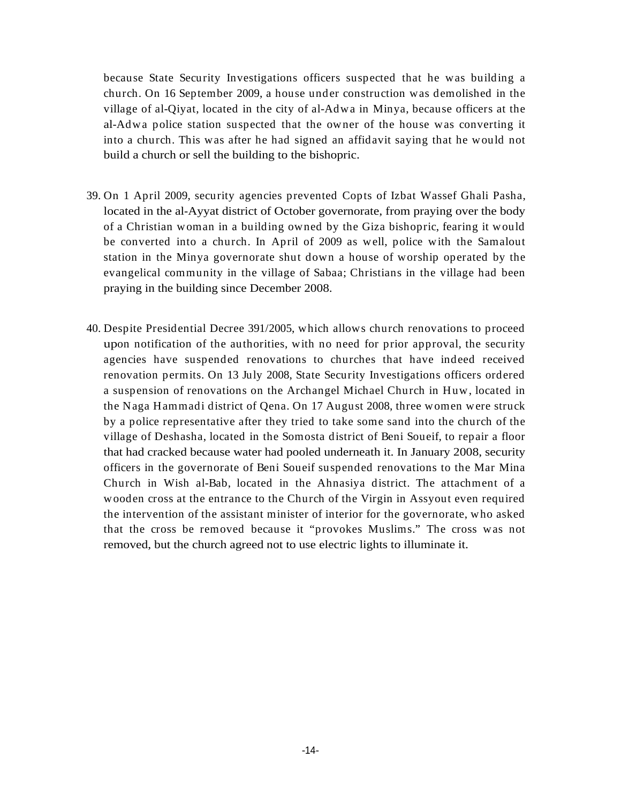because State Security Investigations officers suspected that he was building a church. On 16 September 2009, a house under construction was demolished in the village of al-Qiyat, located in the city of al-Adwa in Minya, because officers at the al-Adwa police station suspected that the owner of the house was converting it into a church. This was after he had signed an affidavit saying that he would not build a church or sell the building to the bishopric.

- 39. On 1 April 2009, security agencies prevented Copts of Izbat Wassef Ghali Pasha, located in the al-Ayyat district of October governorate, from praying over the body of a Christian woman in a building owned by the Giza bishopric, fearing it would be converted into a church. In April of 2009 as well, police with the Samalout station in the Minya governorate shut down a house of worship operated by the evangelical community in the village of Sabaa; Christians in the village had been praying in the building since December 2008.
- 40. Despite Presidential Decree 391/2005, which allows church renovations to proceed upon notification of the authorities, with no need for prior approval, the security agencies have suspended renovations to churches that have indeed received renovation permits. On 13 July 2008, State Security Investigations officers ordered a suspension of renovations on the Archangel Michael Church in Huw, located in the Naga Hammadi district of Qena. On 17 August 2008, three women were struck by a police representative after they tried to take some sand into the church of the village of Deshasha, located in the Somosta district of Beni Soueif, to repair a floor that had cracked because water had pooled underneath it. In January 2008, security officers in the governorate of Beni Soueif suspended renovations to the Mar Mina Church in Wish al-Bab, located in the Ahnasiya district. The attachment of a wooden cross at the entrance to the Church of the Virgin in Assyout even required the intervention of the assistant minister of interior for the governorate, who asked that the cross be removed because it "provokes Muslims." The cross was not removed, but the church agreed not to use electric lights to illuminate it.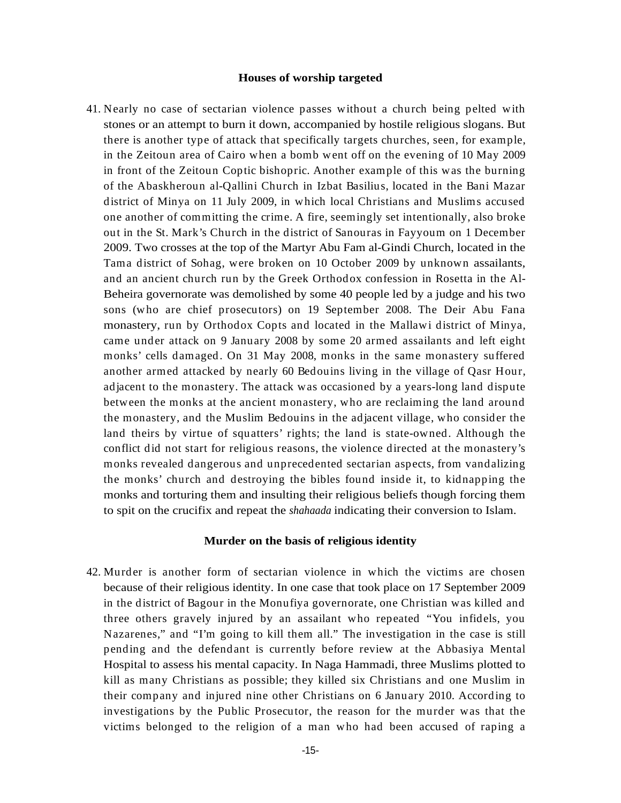**Houses of worship targeted**<br>an violence passes without a church being pelied with<br>an violence passes without a church being pelied with<br>in theory, accompanical by hostils religious sloggans. But<br>althit that specifically t 41. Nearly no case of sectarian violence passes without a church being pelted with stones or an attempt to burn it down, accompanied by hostile religious slogans. But there is another type of attack that specifically targets churches, seen, for example, in the Zeitoun area of Cairo when a bomb went off on the evening of10 May 2009 in front of the Zeitoun Coptic bishopric. Another example of this was the burning of the Abaskheroun al-Qallini Church in Izbat Basilius, located in the Bani Mazar district of Minya on 11 July 2009, in which local Christians and Muslims accused one another of committing the crime. A fire, seemingly set intentionally, also broke out in the St. Mark's Church in the district of Sanouras in Fayyoum on 1 December 2009. Two crosses at the top of the Martyr Abu Fam al-Gindi Church, located in the Tama district of Sohag, were broken on 10 October 2009 by unknown assailants, and an ancient church run by the Greek Orthodox confession in Rosetta in the Al- Beheira governorate was demolished by some 40 people led by a judge and his two sons (who are chief prosecutors) on 19 September 2008. The Deir Abu Fana monastery, run by Orthodox Copts and located in the Mallawi district of Minya, came under attack on 9 January 2008 by some 20 armed assailants and left eight monks' cells damaged. On 31 May 2008, monks in the same monastery suffered another armed attacked by nearly 60 Bedouins living in the village of Qasr Hour, adjacent to the monastery. The attack was occasioned by a years-long land dispute between the monks at the ancient monastery, who are reclaiming the land around the monastery, and the Muslim Bedouins in the adjacent village, who consider the land theirs by virtue of squatters' rights; the land is state-owned. Although the conflict did not start for religious reasons, the violence directed at the monastery's monks revealed dangerous and unprecedented sectarian aspects, from vandalizing the monks' church and destroying the bibles found inside it, to kidnapping the monks and torturing them and insulting their religious beliefs though forcing them to spit on the crucifix and repeat the *shahaada* indicating their conversion to Islam.

### **Murder on the basis of religious identity**

42. Murder is another form of sectarian violence in which the victims are chosen because of their religious identity. In one case that took place on 17 September 2009 in the district of Bagour in the Monufiya governorate, one Christian was killed and three others gravely injured by an assailant who repeated "You infidels, you Nazarenes," and "I'm going to kill them all." The investigation in the case is still pending and the defendant is currently before review at theAbbasiya Mental Hospital to assess his mental capacity. In Naga Hammadi, three Muslims plotted to kill as many Christians as possible; they killed six Christians and one Muslim in their company and injured nine other Christians on 6 January 2010. According to investigations by the Public Prosecutor, the reason for the murder was that the victims belonged to the religion of a man who had been accused of raping a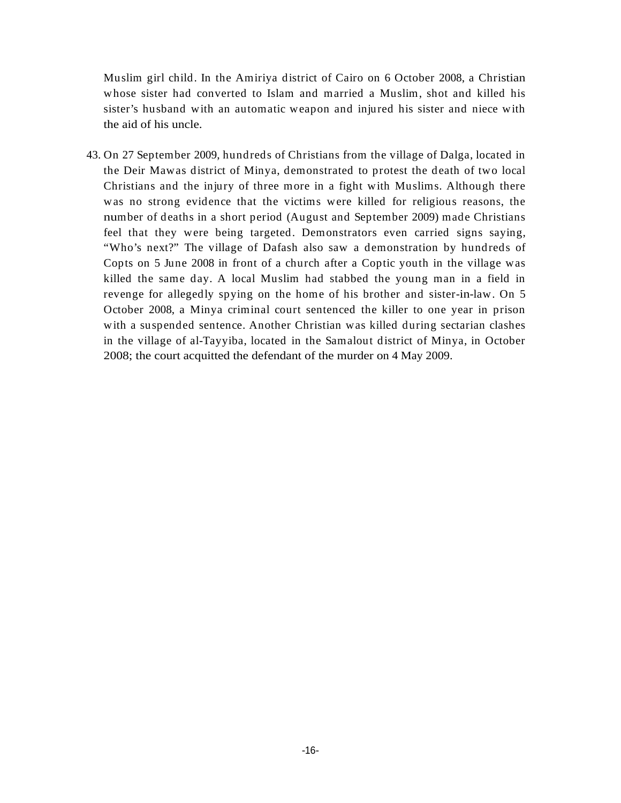whose sister had converted to Islam and married a Muslim, shot and killed his sister's husband with an automatic weapon and injured his sister and niece with the aid of his uncle.

Muslim girl child. In the Amiring district of Cairo on 6 October 2008 a Christian girl child. In the Amiring and Huler in the Muslim girl child in the holds of this uncle.<br>
We show such that an antiomatic weapon and injete 43. On 27 September 2009, hundreds of Christians from the village of Dalga, located in the Deir Mawas district of Minya, demonstrated to protest the death of two local Christians and the injury of three more in a fightwith Muslims.Although there was no strong evidence that the victims were killed for religious reasons, the number of deaths in a short period (August and September 2009) made Christians feel that they were being targeted. Demonstrators even carried signs saying, "Who's next?" The village of Dafash also saw a demonstration by hundreds of Copts on 5 June 2008 in front of a church after a Coptic youth in the village was killed the same day. A local Muslim had stabbed the young man in a field in revenge for allegedly spying on the home of his brother and sister-in-law. On 5 October 2008, a Minya criminal court sentenced the killer to one year in prison with a suspended sentence. Another Christian was killed during sectarian clashes in the village of al-Tayyiba, located in the Samalout district of Minya, in October 2008; the court acquitted the defendant of the murder on 4 May 2009.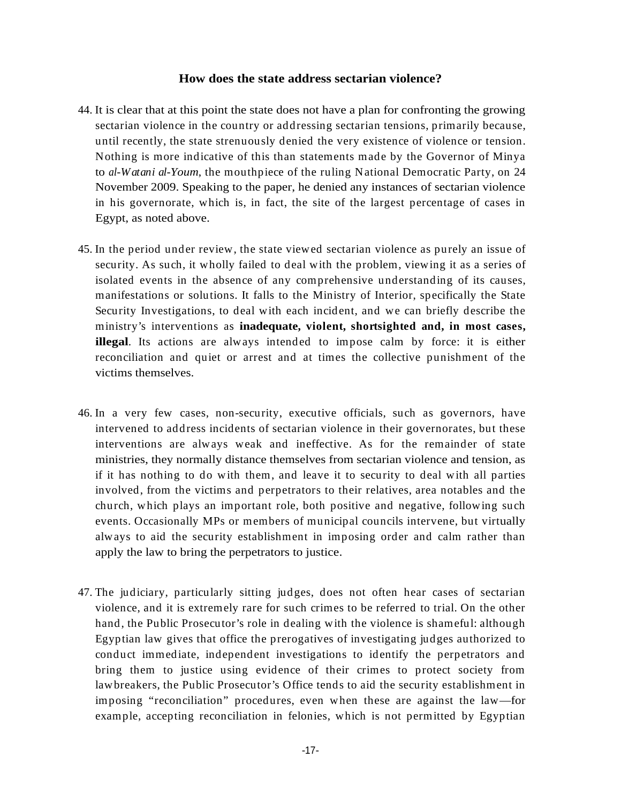- 44. It is clear that at this point the state does not have a plan for confronting the growing sectarian violence in the country or addressing sectarian tensions, primarily because, until recently, the state strenuously denied the very existence of violence or tension. Nothing is more indicative of this than statements made by the Governor of Minya to *al-Watani al-Youm*, the mouthpiece of the ruling National Democratic Party, on 24 November 2009. Speaking to the paper, he denied any instances of sectarian violence in his governorate, which is, in fact, the site of the largest percentage of cases in Egypt, as noted above.
- 45. In the period under review, the state viewed sectarian violence as purely an issue of security. As such, it wholly failed to deal with the problem, viewing it as a series of isolated events in the absence of any comprehensive understanding of its causes, manifestations or solutions. It falls to the Ministry of Interior, specifically the State Security Investigations, to deal with each incident, and we can briefly describe the ministry's interventions as **inadequate, violent, shortsighted and, in most cases, illegal**. Its actions are always intended to impose calm by force: it is either reconciliation and quiet or arrest and at times the collective punishment of the victims themselves.
- **How does the state address sectarian violence?**<br>
this point the state does not have a plan for confronting the growing<br>
tin the state does not have a plan for confronting the growing<br>
is in the country or addressing secta 46. In a very few cases, non-security, executive officials, such as governors, have intervened to address incidents of sectarian violence in their governorates, but these interventions are always weak and ineffective. As for the remainder of state ministries, they normally distance themselves from sectarian violence and tension, as if it has nothing to do with them, and leave it to security to deal with all parties involved, from the victims and perpetrators to their relatives, area notables and the church, which plays an important role, both positive and negative, following such events. Occasionally MPs or members of municipal councils intervene, but virtually always to aid the security establishment in imposing order and calm rather than apply the law to bring the perpetrators to justice.
- 47. The judiciary, particularly sitting judges, does not often hear cases of sectarian violence, and it is extremely rare for such crimes to be referred to trial. On the other hand, the Public Prosecutor's role in dealing with the violence is shameful: although Egyptian law gives that office the prerogatives of investigating judges authorized to conduct immediate, independent investigations to identify the perpetrators and bring them to justice using evidence of their crimes to protect society from lawbreakers, the Public Prosecutor's Office tends to aid the security establishment in imposing "reconciliation" procedures, even when these are against the law—for example, accepting reconciliation in felonies, which is not permitted by Egyptian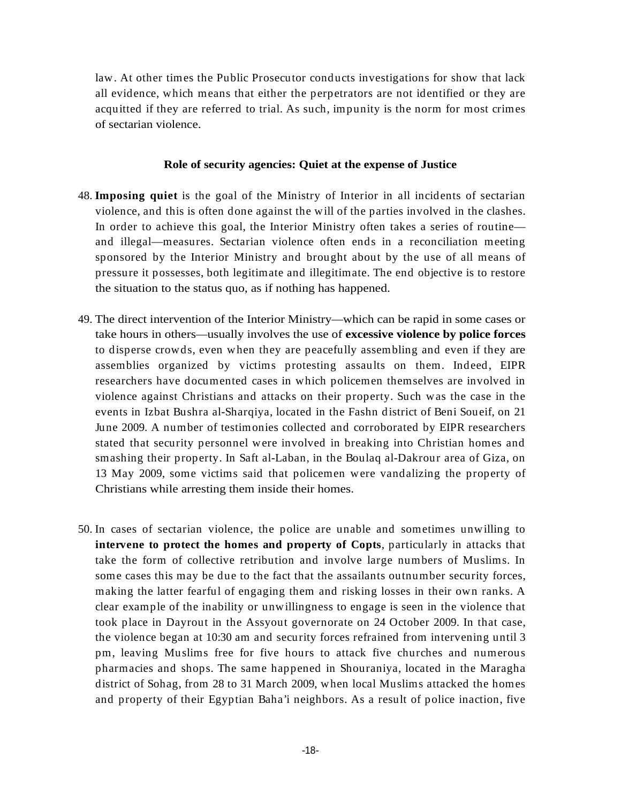law. At other times the Public Prosecutor conducts investigations for show that lack all evidence, which means that either the perpetrators are not identified or they are acquitted if they are referred to trial. As such, impunity is the norm for most crimes of sectarian violence.

# **Role of security agencies: Quiet at the expense of Justice**

- 48. **Imposing quiet** is the goal of the Ministry of Interior in all incidents of sectarian violence, and this is often done against the will of the parties involved in the clashes. In order to achieve this goal, the Interior Ministry often takes a series of routine and illegal—measures. Sectarian violence often ends in a reconciliation meeting sponsored by the Interior Ministry and brought about by the use of all means of pressure it possesses, both legitimate and illegitimate. The end objective is to restore the situation to the status quo, as if nothing has happened.
- 49. The direct intervention of the Interior Ministry—which can be rapid in some cases or take hours in others—usually involves the use of **excessive violence by police forces** to disperse crowds, even when they are peacefully assembling and even if they are assemblies organized by victims protesting assaults on them. Indeed, EIPR researchers have documented cases in which policemen themselves are involved in violence against Christians and attacks on their property. Such was the case in the events in Izbat Bushra al-Sharqiya, located in the Fashn district of Beni Soueif, on 21 June 2009. A number of testimonies collected and corroborated by EIPR researchers stated that security personnel were involved in breaking into Christian homes and smashing their property. In Saft al-Laban, in the Boulaq al-Dakrour area of Giza, on 13 May 2009, some victims said that policemen were vandalizing the property of Christians while arresting them inside their homes.
- 50. In cases of sectarian violence, the police are unable and sometimes unwilling to **intervene** to protect the homes and property of Copts, particularly in attacks that take the form of collective retribution and involve large numbers of Muslims. In some cases this may be due to the fact that the assailants outnumber security forces, making the latter fearful of engaging them and risking losses in their own ranks. A clear example of the inability or unwillingness to engage is seen in the violence that took place in Dayrout in the Assyout governorate on 24 October 2009. In that case, the violence began at 10:30 am and security forces refrained from intervening until 3 pm, leaving Muslims free for five hours to attack five churches and numerous pharmacies and shops. The same happened in Shouraniya, located in the Maragha district of Sohag, from 28 to 31 March 2009, when local Muslims attacked the homes and property of their Egyptian Baha'i neighbors.As a result of police inaction, five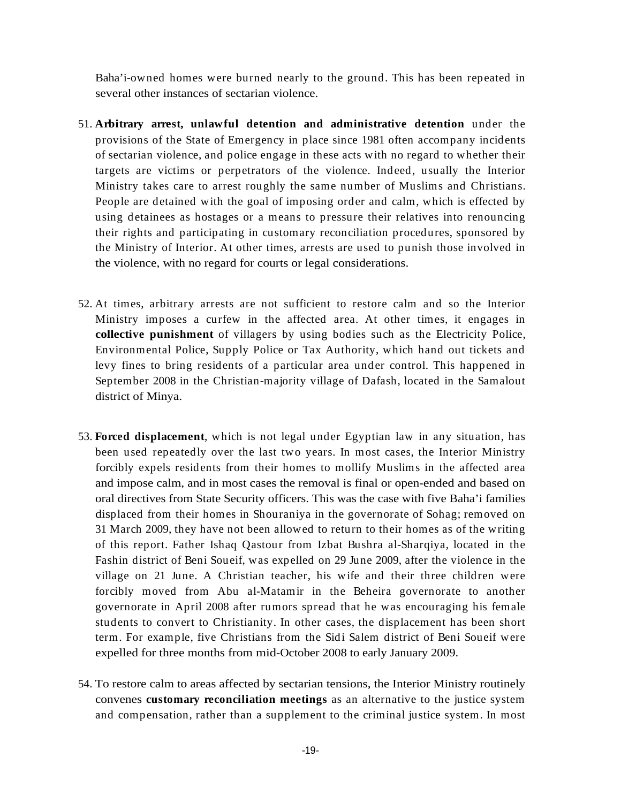several other instances of sectarian violence.

- 51. **Arbitrary arrest, unlawful detention and administrative detention** under the provisions of the State of Emergency in place since 1981 often accompany incidents of sectarian violence, and police engage in theseacts with no regard to whether their targets are victims or perpetrators of the violence. Indeed, usually the Interior Ministry takes care to arrest roughly the same number of Muslims and Christians. People are detained with the goal of imposing order and calm, which is effected by using detainees as hostages or a means to pressure their relatives into renouncing their rights and participating in customary reconciliation procedures, sponsored by the Ministry of Interior. At other times, arrests are used to punish those involved in the violence, with no regard for courts or legal considerations.
- 52. At times, arbitrary arrests are not sufficient to restore calm and so the Interior Ministry imposes a curfew in the affected area. At other times, it engages in **collective punishment** of villagers by using bodies such as the Electricity Police, Environmental Police, Supply Police or Tax Authority, which hand out tickets and levy fines to bring residents of a particular area under control. This happened in September 2008 in the Christian-majority village of Dafash, located in the Samalout district of Minya.
- Habitations are burned nearly to the ground. This has been repeated in<br>Sweet of the final context and the final context and an anticipative detection onder the<br>provisions of the State of Endergroep in phase since 1981 of t 53. **Forced displacement**, which is not legal under Egyptian law in any situation, has been used repeatedly over the last two years. In most cases, the Interior Ministry forcibly expels residents from their homes to mollify Muslims in the affected area and impose calm, and in most cases the removal is final or open-ended and based on oral directives from State Security officers. This was the case with five Baha'i families displaced from their homes in Shouraniya in the governorate of Sohag; removed on 31 March 2009, they have not been allowed to return to their homes as of the writing of this report. Father Ishaq Qastour from Izbat Bushra al-Sharqiya, located in the Fashin district of Beni Soueif, was expelled on 29 June 2009, after the violence in the village on 21 June. A Christian teacher, his wife and their three children were forcibly moved from Abu al-Matamir in the Beheira governorate to another governorate in April 2008 after rumors spread that he was encouraging his female students to convert to Christianity. In other cases, the displacement has been short term. For example, five Christians from the Sidi Salem district of Beni Soueif were expelled for three months from mid-October 2008 to early January 2009.
- 54. To restore calm to areas affected by sectarian tensions, the Interior Ministry routinely convenes **customary reconciliation meetings** as an alternative to the justice system and compensation, rather than a supplement to the criminal justice system. In most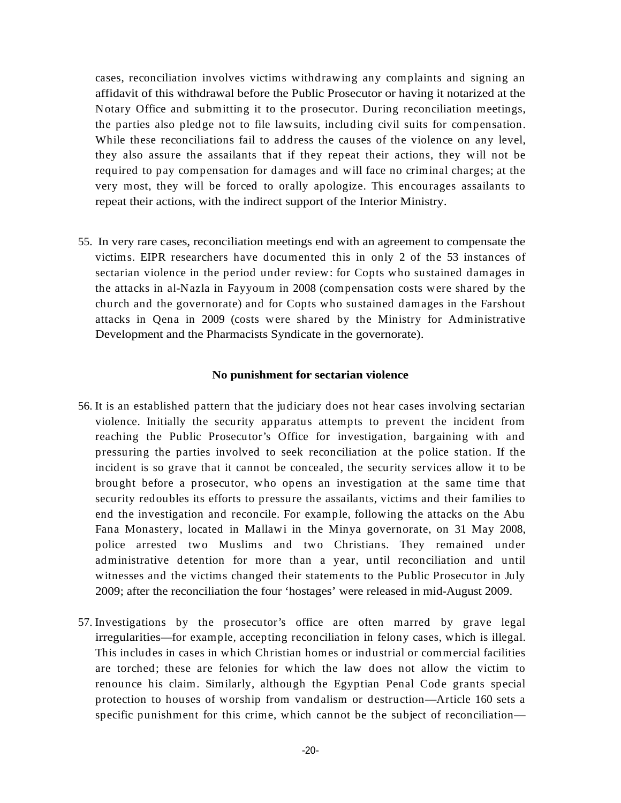cases, reconciliation involves victims withdrawing any complaints and signing an affidavit of this withdrawal before the Public Prosecutor or having it notarized at the Notary Office and submitting it to the prosecutor. During reconciliation meetings, the parties also pledge not to file lawsuits, including civil suits for compensation. While these reconciliations fail to address the causes of the violence on any level, they also assure the assailants that if they repeat their actions, they will not be required to pay compensation for damages and will face no criminal charges; at the very most, they will be forced to orally apologize. This encourages assailants to repeat their actions, with the indirect support of the Interior Ministry.

55. In very rare cases, reconciliation meetings end with an agreement to compensate the victims. EIPR researchers have documented this in only 2 of the53 instances of sectarian violence in the period under review: for Copts who sustained damages in the attacks in al-Nazla in Fayyoum in 2008 (compensation costs were shared by the church and the governorate) and for Copts who sustained damages in the Farshout attacks in Qena in 2009 (costs were shared by the Ministry for Administrative Development and the Pharmacists Syndicate in the governorate).

### **No punishment for sectarian violence**

- 56. It is an established pattern that the judiciary does not hear cases involving sectarian violence. Initially the security apparatus attempts to prevent the incident from reaching the Public Prosecutor's Office for investigation, bargaining with and pressuring the parties involved to seek reconciliation at the police station. If the incident is so grave that it cannot be concealed, the security services allow it to be brought before a prosecutor, who opens an investigation at the same time that security redoubles its efforts to pressure the assailants, victims and their families to end the investigation and reconcile. For example, following the attacks on the Abu Fana Monastery, located in Mallawi in the Minya governorate, on 31 May 2008, police arrested two Muslims and two Christians. They remained under administrative detention for more than a year, until reconciliation and until witnesses and the victims changed their statements to the Public Prosecutor in July 2009; after the reconciliation the four 'hostages' were released in mid-August 2009.
- 57. Investigations by the prosecutor's office are often marred by grave legal irregularities—for example, accepting reconciliation in felony cases, which is illegal. This includes in cases in which Christian homes or industrial or commercial facilities are torched; these are felonies for which the law does not allow the victim to renounce his claim. Similarly, although the Egyptian Penal Code grants special protection to houses of worship from vandalism or destruction—Article 160 sets a specific punishment for this crime, which cannot be the subject of reconciliation—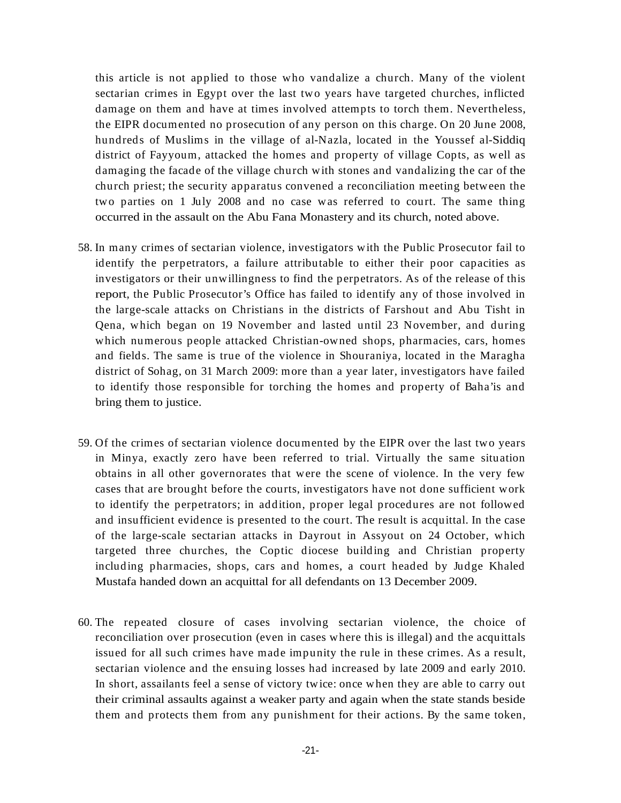this article is not applied to those who vandalizea church. Many of the violent sectarian crimes in Egypt over the last two years have targeted churches, inflicted damage on them and have at times involved attempts to torch them. Nevertheless, the EIPR documented no prosecution of any person on this charge. On 20 June 2008, hundreds of Muslims in the village of al-Nazla, located in the Youssef al-Siddiq district of Fayyoum, attacked the homes and property of village Copts, as well as damaging the facade of the village church with stones and vandalizing the car of the church priest; the security apparatus convened areconciliation meeting between the two parties on 1 July 2008 and no case was referred to court. The same thing occurred in the assault on the Abu Fana Monastery and its church, noted above.

- 58. In many crimes of sectarian violence, investigators with the Public Prosecutor fail to identify the perpetrators, a failure attributable to either their poor capacities as investigators or their unwillingness to find the perpetrators. As of the release of this report, the Public Prosecutor's Office has failed to identify any of those involved in the large-scale attacks on Christians in the districts of Farshout and Abu Tisht in Qena, which began on 19 November and lasted until 23 November, and during which numerous people attacked Christian-owned shops, pharmacies, cars, homes and fields. The same is true of the violence in Shouraniya, located in the Maragha district of Sohag, on 31 March 2009: more than a year later, investigators have failed to identify those responsible for torching the homes and property of Baha'is and bring them to justice.
- 59. Of the crimes of sectarian violence documented by the EIPR over the last two years in Minya, exactly zero have been referred to trial. Virtually the same situation obtains in all other governorates that were the scene of violence. In the very few cases that are brought before the courts, investigators have not done sufficient work to identify the perpetrators; in addition, proper legal procedures are not followed and insufficient evidence is presented to the court. The result is acquittal. In the case of the large-scale sectarian attacks in Dayrout in Assyout on 24 October, which targeted three churches, the Coptic diocese building and Christian property including pharmacies, shops, cars and homes, a court headed by Judge Khaled Mustafa handed down an acquittal for all defendants on 13 December 2009.
- 60. The repeated closure of cases involving sectarian violence, the choice of reconciliation over prosecution (even in cases where this is illegal) and the acquittals issued for all such crimes have made impunity the rule in these crimes. As a result, sectarian violence and the ensuing losses had increased by late 2009 and early 2010. In short, assailants feel a sense of victory twice: once when they are able to carry out their criminal assaults against a weaker party and again when the state stands beside them and protects them from any punishment for their actions. By the same token,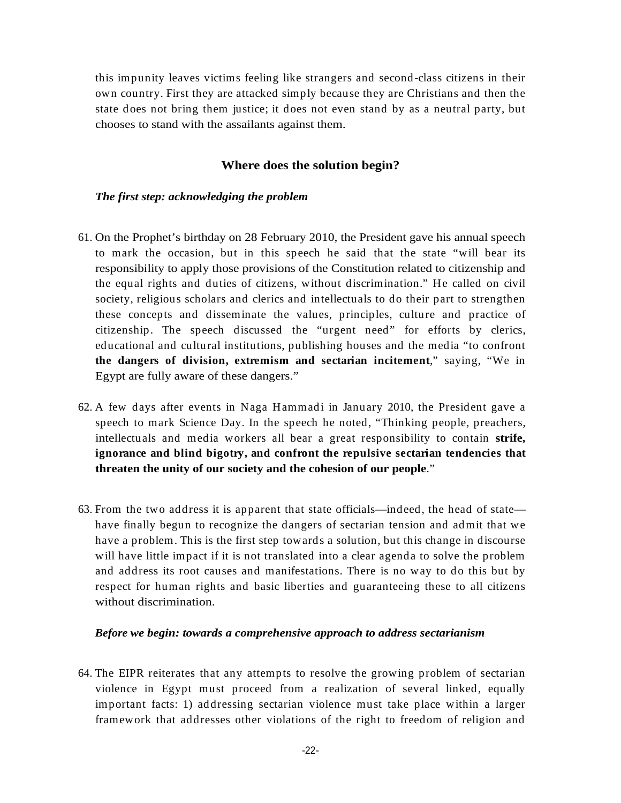this impunity leaves victims feeling like strangers and second-class citizens in their own country. First they areattacked simply because they are Christians and then the state does not bring them justice; it does not even stand by as a neutral party, but chooses to stand with the assailants against them.

# **Where does the solution begin?**

# *The first step: acknowledging the problem*

- 61. On the Prophet's birthday on 28 February 2010, the President gave his annual speech to mark the occasion, but in this speech he said that the state "will bear its responsibility to apply those provisions of the Constitution related to citizenship and the equal rights and duties of citizens, without discrimination." He called on civil society, religious scholars and clerics and intellectuals to do their part to strengthen these concepts and disseminate the values, principles, culture and practice of citizenship. The speech discussed the "urgent need" for efforts by clerics, educational and cultural institutions, publishing houses and the media "to confront **the dangers of division, extremism and sectarian incitement**," saying, "We in Egypt are fully aware of these dangers."
- 62. A few days after events in Naga Hammadi in January 2010, the President gave a speech to mark Science Day. In the speech he noted, "Thinking people, preachers, intellectuals and media workers all bear a great responsibility to contain **strife, ignorance and blind bigotry, and confront the repulsive sectarian tendencies that threaten the unity of our society and the cohesion of our people**."
- 63. From the two address it is apparent that state officials—indeed, the head of state have finally begun to recognize the dangers of sectarian tension and admit that we have a problem. This is the first step towards a solution, but this change in discourse will have little impact if it is not translated into a clear agenda to solve the problem and address its root causes and manifestations. Thereis no way to do this but by respect for human rights and basic liberties and guaranteeing these to all citizens without discrimination.

### *Before we begin: towards a comprehensive approach to address sectarianism*

64. The EIPR reiterates that any attempts to resolve the growing problem of sectarian violence in Egypt must proceed from a realization of several linked, equally important facts: 1) addressing sectarian violence must take place within a larger framework that addresses other violations of the right to freedom of religion and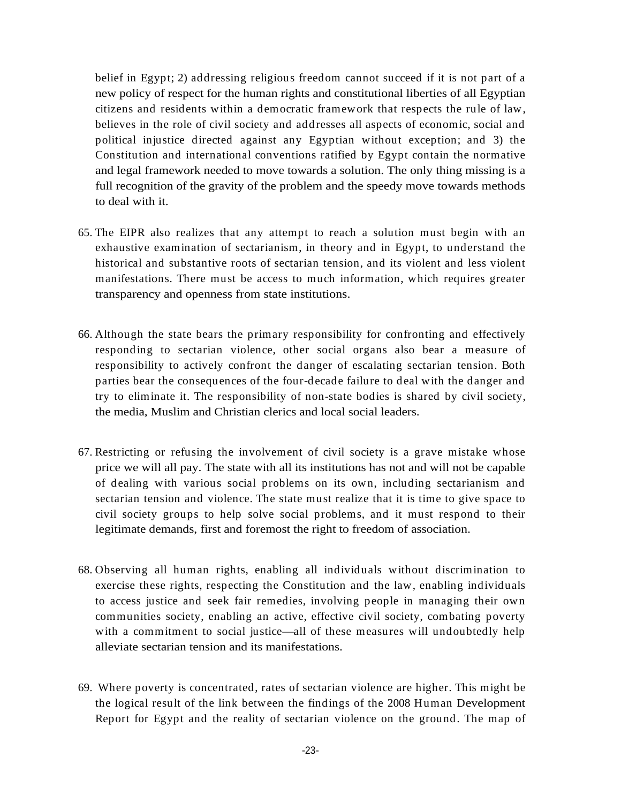belief in Egypt; 2) addressing religious freedom cannot succeed if it is not part of a new policy of respect for the human rights and constitutional liberties of all Egyptian citizens and residents within a democratic framework that respects the rule oflaw, believes in the role of civil society and addresses all aspects of economic, social and political injustice directed against any Egyptian without exception; and 3) the Constitution and international conventions ratified by Egypt contain the normative and legal framework needed to move towards a solution. The only thing missing is a full recognition of the gravity of the problem and the speedy move towards methods to deal with it.

- 65. The EIPR also realizes that any attempt to reach a solution must begin with an exhaustive examination of sectarianism, in theory and in Egypt, to understand the historical and substantive roots of sectarian tension, and its violent and less violent manifestations. There must be access to much information, which requires greater transparency and openness from state institutions.
- 66. Although the state bears the primary responsibility for confronting and effectively responding to sectarian violence, other social organs also bear a measure of responsibility to actively confront the danger of escalating sectarian tension. Both parties bear the consequences of the four-decade failure to deal with the danger and try to eliminate it. The responsibility of non-state bodies is shared by civil society, the media, Muslim and Christian clerics and local social leaders.
- 67. Restricting or refusing the involvement of civil society is a grave mistake whose price we will all pay. The state with all its institutions has not and will not be capable of dealing with various social problems on its own, including sectarianism and sectarian tension and violence. The state must realize that it is time to give space to civil society groups to help solve social problems, and it must respond to their legitimate demands, first and foremost the right to freedom of association.
- 68. Observing all human rights, enabling all individuals without discrimination to exercise these rights, respecting the Constitution and the law, enabling individuals to access justice and seek fair remedies, involving people in managing their own communities society, enabling an active, effective civil society, combating poverty with a commitment to social justice—all of these measures will undoubtedly help alleviate sectarian tension and its manifestations.
- 69. Where poverty is concentrated, rates of sectarian violence are higher. This might be the logical result of the link between the findings of the 2008 Human Development Report for Egypt and the reality of sectarian violence on the ground. The map of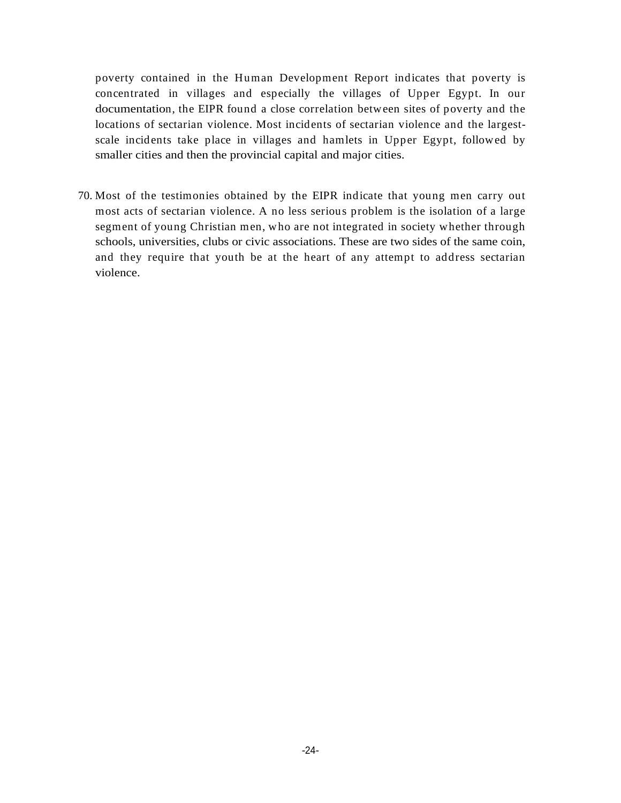poverty contained in the Human Development Report indicates that poverty is concentrated in villages and especially the villages of Upper Egypt. In our documentation, the EIPR found a close correlation between sites of poverty and the locations of sectarian violence. Most incidents of sectarian violence and the largest scale incidents take place in villages and hamlets in Upper Egypt, followed by smaller cities and then the provincial capital and major cities.

70. Most of the testimonies obtained by the EIPR indicate that young men carry out most acts of sectarian violence. A no less serious problem is the isolation of a large segment of young Christian men, who are not integrated in society whether through schools, universities, clubs or civic associations. These are two sides of the same coin, and they require that youth be at the heart of any attempt to address sectarian violence.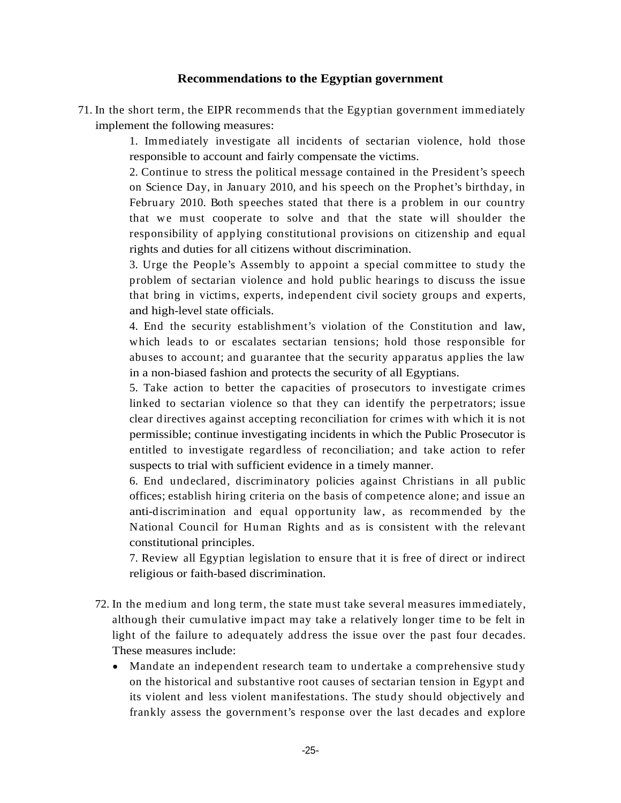71. In the short term, the EIPR recommends that the Egyptian government immediately implement the following measures:

> 1. Immediately investigate all incidents of sectarian violence, hold those responsible to account and fairly compensate the victims.

**Recommendations to the Egyptian government**<br>  $x_1$ , the EIPR recommends that the Egyptian government inmediately<br>
interdisted and incidents of sectarian violence, hold those<br>
listing the sectaric and incidents of sectaric 2. Continue to stress the political message contained in the President's speech on Science Day, in January 2010, and his speech on the Prophet's birthday, in February 2010. Both speeches stated that there is a problem in our country that we must cooperate to solve and that the state will shoulder the responsibility of applying constitutional provisions on citizenship and equal rights and duties for all citizens without discrimination.

3. Urge the People's Assembly to appoint a special committee to study the problem of sectarian violence and hold public hearings to discuss the issue that bring in victims, experts, independent civil society groups and experts, and high-level state officials.

4. End the security establishment's violation of the Constitution and law, which leads to or escalates sectarian tensions; hold those responsible for abuses to account; and guarantee that the security apparatus applies the law in a non-biased fashion and protects the security of all Egyptians.

5. Take action to better the capacities of prosecutors to investigate crimes linked to sectarian violence so that they can identify the perpetrators; issue clear directives against accepting reconciliation for crimes with which it is not permissible; continue investigating incidents in which the Public Prosecutor is entitled to investigate regardless of reconciliation; and take action to refer suspects to trial with sufficient evidence in a timely manner.

6. End undeclared, discriminatory policies against Christians in all public offices; establish hiring criteria on the basis of competence alone; and issue an anti-discrimination and equal opportunity law, as recommended by the National Council for Human Rights and as is consistent with the relevant constitutional principles.

7. Review all Egyptian legislation to ensure that it is free of direct or indirect religious or faith-based discrimination.

- 72. In the medium and long term, the state must take several measures immediately, although their cumulative impact may take a relatively longer time to be felt in light of the failure to adequately address the issue over the past four decades. These measures include:
	- Mandate an independent research team to undertake a comprehensive study on the historical and substantive root causes of sectarian tension in Egypt and its violent and less violent manifestations. The study should objectively and frankly assess the government's response over the last decades and explore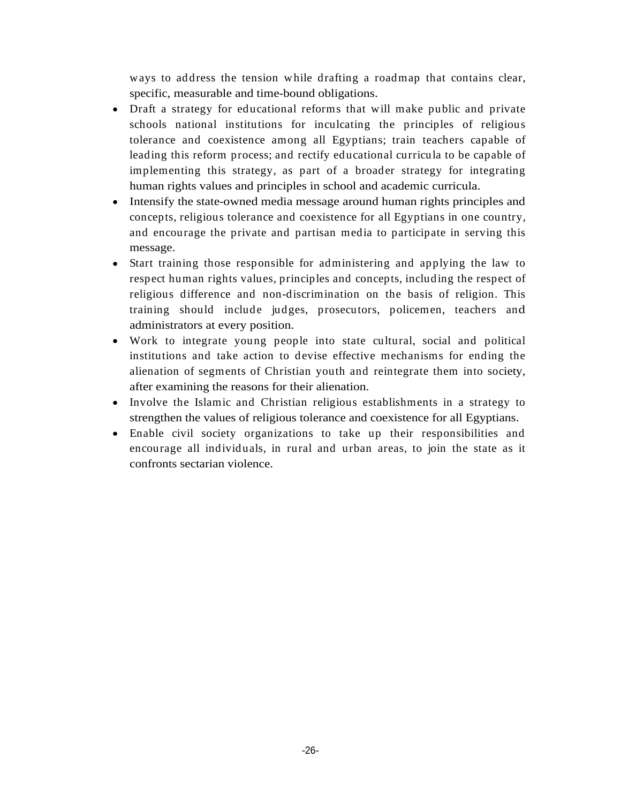- ways in address the tension while drafting a roadmap that contains clear, specific, measurable and time-bound obligations.<br>Dual a strategy fine duration leading a finite while while a tensile until cand be applied to decre Draft a strategy for educational reforms that will make public and private schools national institutions for inculcating the principles of religious tolerance and coexistence among all Egyptians; train teachers capable of leading this reform process; and rectify educational curricula to be capable of implementing this strategy, as part of a broader strategy for integrating human rights values and principles in school and academic curricula.
- Intensify the state-owned media message around human rights principles and concepts, religious tolerance and coexistence for all Egyptians in one country, and encourage the private and partisan media to participate in serving this message.
- Start training those responsible for administering and applying the law to respect human rights values, principles and concepts, including the respect of religious difference and non-discrimination on the basis of religion. This training should include judges, prosecutors, policemen, teachers and administrators at every position.
- Work to integrate young people into state cultural, social and political institutions and take action to devise effective mechanisms for ending the alienation of segments of Christian youth and reintegrate them into society, after examining the reasons for their alienation.
- Involve the Islamic and Christian religious establishments in a strategy to strengthen the values of religious tolerance and coexistence for all Egyptians.
- Enable civil society organizations to take up their responsibilities and encourage all individuals, in rural and urban areas, to join the state as it confronts sectarian violence.